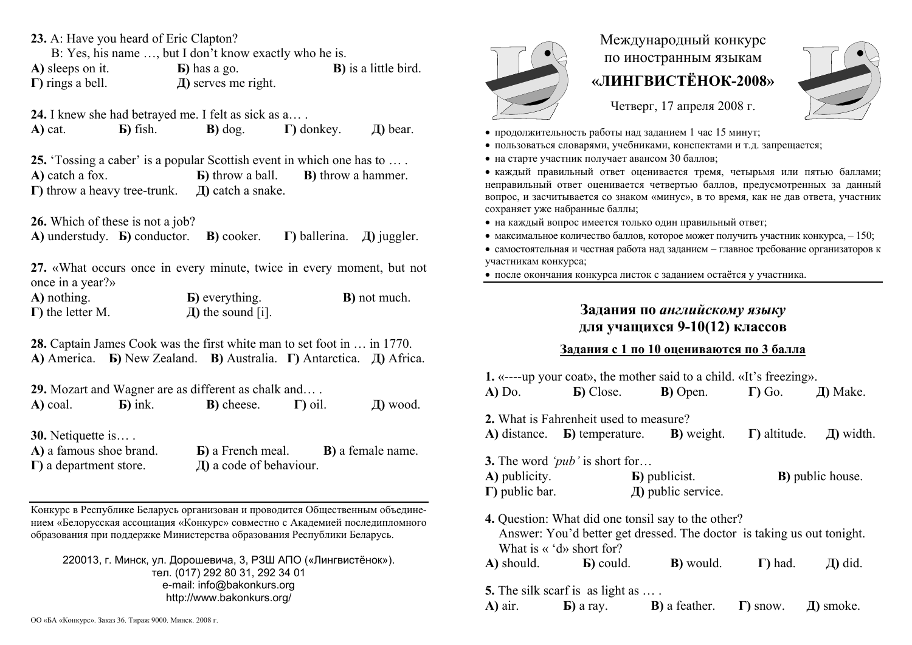**23.** A: Have you heard of Eric Clapton?

B: Yes, his name …, but I don't know exactly who he is.

**А)** sleeps on it. **Б)** has a go. **В)** is a little bird. **Г)** rings a bell. **Д)** serves me right.

**24.** I knew she had betrayed me. I felt as sick as a… .

**А)** cat. **Б)** fish. **В)** dog. **Г)** donkey. **Д)** bear.

**25.** 'Tossing a caber' is a popular Scottish event in which one has to … . **А)** catch a fox. **Б)** throw a ball. **В)** throw a hammer. **Г)** throw a heavy tree-trunk. **Д)** catch a snake.

**26.** Which of these is not a job?

**А)** understudy. **Б)** conductor. **В)** cooker. **Г)** ballerina. **Д)** juggler.

**27.** «What occurs once in every minute, twice in every moment, but not once in a year?»

**А)** nothing. **Б)** everything. **В)** not much. **Г)** the letter M. **Д)** the sound [i].

**28.** Captain James Cook was the first white man to set foot in … in 1770. **А)** America. **Б)** New Zealand. **В)** Australia. **Г)** Antarctica. **Д)** Africa.

**29.** Mozart and Wagner are as different as chalk and… .

**А)** coal. **Б)** ink. **В)** cheese. **Г)** oil. **Д)** wood.

**30.** Netiquette is… .

**А)** a famous shoe brand. **Б)** a French meal. **В)** a female name. **Г)** a department store. **Д)** a code of behaviour.

Конкурс <sup>в</sup> Республике Беларусь организован и проводится Общественным объединением «Белорусская ассоциация «Конкурс» совместно <sup>с</sup> Академией последипломного образования при поддержке Министерства образования Республики Беларусь.

220013, <sup>г</sup>. Минск, ул. Дорошевича, 3, РЗШ АПО («Лингвистёнок»). тел. (017) 292 80 31, 292 34 01 e-mail: info@bakonkurs.org http://www.bakonkurs.org/



## Международный конкурс по иностранным языкам **«ЛИНГВИСТЁНОК-2008»**

Четверг, 17 апреля 2008 г.



- продолжительность работы над заданием 1 час 15 минут;
- пользоваться словарями, учебниками, конспектами и <sup>т</sup>.д. запрещается;
- на старте участник получает авансом 30 баллов;

 каждый правильный ответ оценивается тремя, четырьмя или пятью баллами; неправильный ответ оценивается четвертью баллов, предусмотренных за данный вопрос, <sup>и</sup> засчитывается со знаком «минус», <sup>в</sup> то время, как не дав ответа, участник сохраняет уже набранные баллы;

- на каждый вопрос имеется только один правильный ответ;
- максимальное количество баллов, которое может получить участник конкурса,  $-150$ ;
- самостоятельная и честная работа над заданием главное требование организаторов к участникам конкурса;

после окончания конкурса листок <sup>с</sup> заданием остаётся у участника.

## **Задания по** *английскому языку* **для учащихся 9-10(12) классов**

## **Задания <sup>с</sup> 1 по 10 оцениваются по 3 балла**

| <b>1.</b> «----up your coat», the mother said to a child. «It's freezing».                                                                                                                      |                                                                                                   |                                                                    |                 |                                    |  |  |  |  |
|-------------------------------------------------------------------------------------------------------------------------------------------------------------------------------------------------|---------------------------------------------------------------------------------------------------|--------------------------------------------------------------------|-----------------|------------------------------------|--|--|--|--|
| $A)$ Do.                                                                                                                                                                                        |                                                                                                   | <b>b</b> ) Close. <b>b</b> ) Open. $\Gamma$ ) Go. <b>J</b> ) Make. |                 |                                    |  |  |  |  |
|                                                                                                                                                                                                 | 2. What is Fahrenheit used to measure?<br>A) distance. <b>b</b> ) temperature. <b>B</b> ) weight. |                                                                    |                 | $\Gamma$ ) altitude. $\Box$ Width. |  |  |  |  |
| A) publicity.<br>$\Gamma$ ) public bar.                                                                                                                                                         | <b>3.</b> The word ' <i>pub</i> ' is short for                                                    | <b>b</b> ) publicist.<br>$\pi$ ) public service.                   |                 | <b>B</b> ) public house.           |  |  |  |  |
| <b>4.</b> Question: What did one tonsil say to the other?<br>Answer: You'd better get dressed. The doctor is taking us out tonight.<br>What is $\langle \rangle$ d $\langle \rangle$ short for? |                                                                                                   |                                                                    |                 |                                    |  |  |  |  |
|                                                                                                                                                                                                 | <b>A)</b> should. <b>b</b> ) could.                                                               | <b>B</b> ) would.                                                  | $\Gamma$ ) had. | $\pi$ ) did.                       |  |  |  |  |
| 5. The silk scarf is as light as $\dots$ .                                                                                                                                                      |                                                                                                   |                                                                    |                 |                                    |  |  |  |  |
|                                                                                                                                                                                                 | A) air. <b>b</b> ) a ray. <b>b</b> ) a feather. <b>c</b> ) snow. $\Box$ moke.                     |                                                                    |                 |                                    |  |  |  |  |